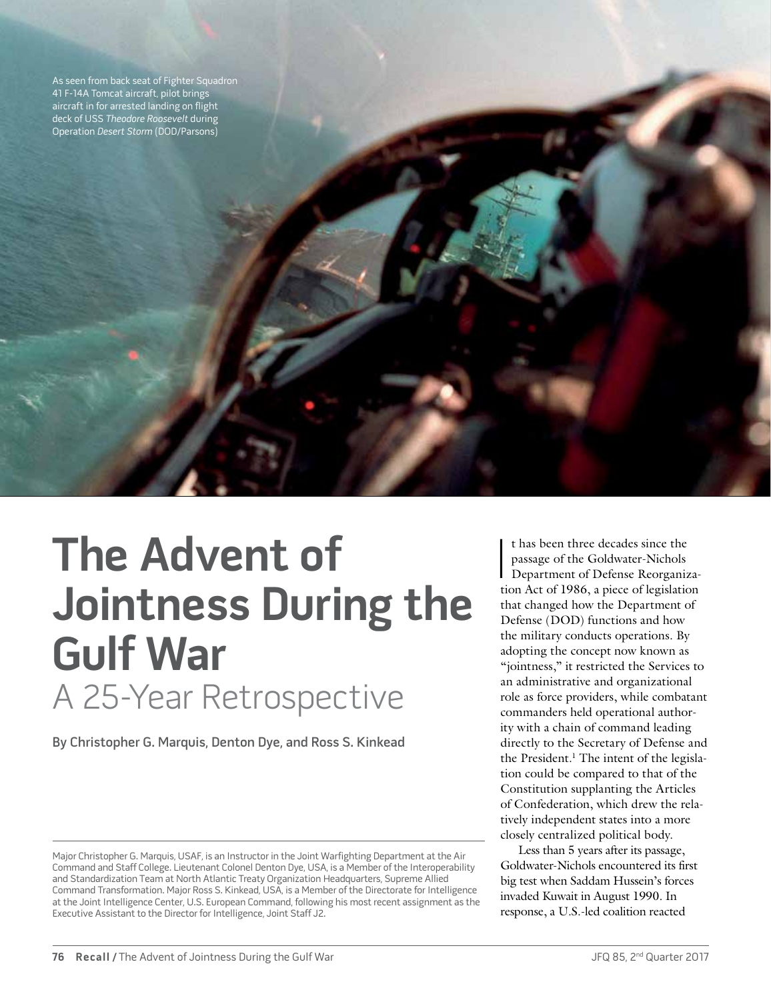As seen from back seat of Fighter Squadron 41 F-14A Tomcat aircraft, pilot brings aircraft in for arrested landing on flight deck of USS Theodore Roosevelt during Operation Desert Storm (DOD/Parsons)

**The Advent of Jointness During the Gulf War** A 25-Year Retrospective

By Christopher G. Marquis, Denton Dye, and Ross S. Kinkead

t has been three decades since the<br>passage of the Goldwater-Nichols<br>Department of Defense Reorganiza-<br>tion Act of 1986, a piece of legislation t has been three decades since the passage of the Goldwater-Nichols Department of Defense Reorganizathat changed how the Department of Defense (DOD) functions and how the military conducts operations. By adopting the concept now known as "jointness," it restricted the Services to an administrative and organizational role as force providers, while combatant commanders held operational authority with a chain of command leading directly to the Secretary of Defense and the President.<sup>1</sup> The intent of the legislation could be compared to that of the Constitution supplanting the Articles of Confederation, which drew the relatively independent states into a more closely centralized political body.

Less than 5 years after its passage, Goldwater-Nichols encountered its first big test when Saddam Hussein's forces invaded Kuwait in August 1990. In response, a U.S.-led coalition reacted

Major Christopher G. Marquis, USAF, is an Instructor in the Joint Warfighting Department at the Air Command and Staff College. Lieutenant Colonel Denton Dye, USA, is a Member of the Interoperability and Standardization Team at North Atlantic Treaty Organization Headquarters, Supreme Allied Command Transformation. Major Ross S. Kinkead, USA, is a Member of the Directorate for Intelligence at the Joint Intelligence Center, U.S. European Command, following his most recent assignment as the Executive Assistant to the Director for Intelligence, Joint Staff J2.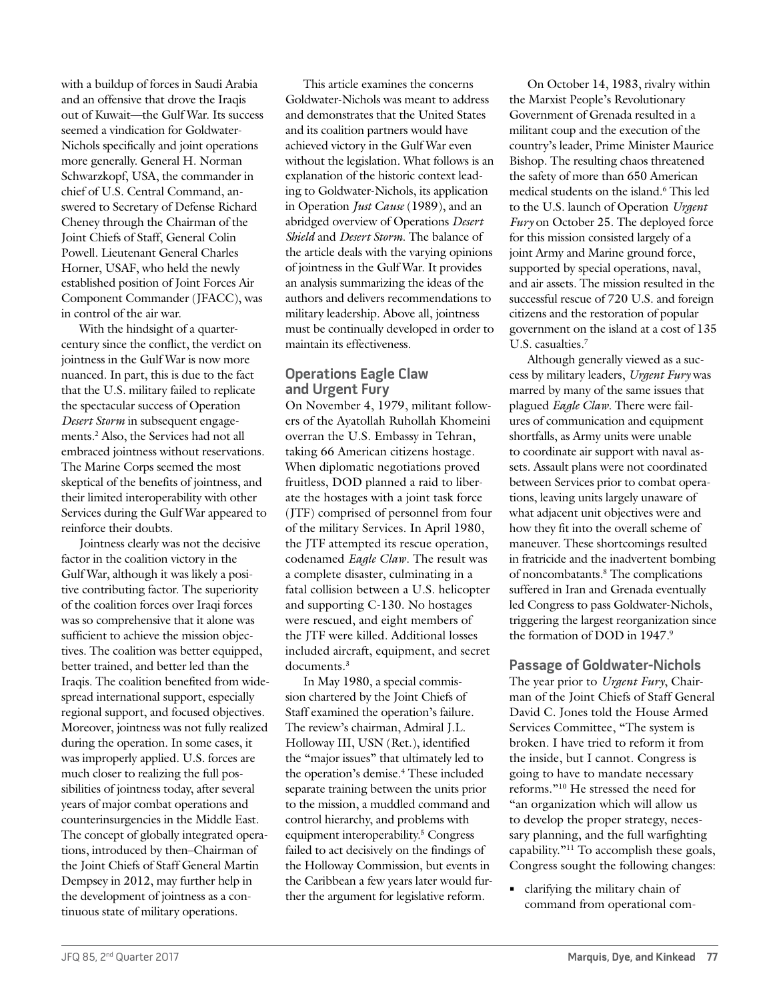with a buildup of forces in Saudi Arabia and an offensive that drove the Iraqis out of Kuwait—the Gulf War. Its success seemed a vindication for Goldwater-Nichols specifically and joint operations more generally. General H. Norman Schwarzkopf, USA, the commander in chief of U.S. Central Command, answered to Secretary of Defense Richard Cheney through the Chairman of the Joint Chiefs of Staff, General Colin Powell. Lieutenant General Charles Horner, USAF, who held the newly established position of Joint Forces Air Component Commander (JFACC), was in control of the air war.

With the hindsight of a quartercentury since the conflict, the verdict on jointness in the Gulf War is now more nuanced. In part, this is due to the fact that the U.S. military failed to replicate the spectacular success of Operation *Desert Storm* in subsequent engagements.2 Also, the Services had not all embraced jointness without reservations. The Marine Corps seemed the most skeptical of the benefits of jointness, and their limited interoperability with other Services during the Gulf War appeared to reinforce their doubts.

Jointness clearly was not the decisive factor in the coalition victory in the Gulf War, although it was likely a positive contributing factor. The superiority of the coalition forces over Iraqi forces was so comprehensive that it alone was sufficient to achieve the mission objectives. The coalition was better equipped, better trained, and better led than the Iraqis. The coalition benefited from widespread international support, especially regional support, and focused objectives. Moreover, jointness was not fully realized during the operation. In some cases, it was improperly applied. U.S. forces are much closer to realizing the full possibilities of jointness today, after several years of major combat operations and counterinsurgencies in the Middle East. The concept of globally integrated operations, introduced by then–Chairman of the Joint Chiefs of Staff General Martin Dempsey in 2012, may further help in the development of jointness as a continuous state of military operations.

This article examines the concerns Goldwater-Nichols was meant to address and demonstrates that the United States and its coalition partners would have achieved victory in the Gulf War even without the legislation. What follows is an explanation of the historic context leading to Goldwater-Nichols, its application in Operation *Just Cause* (1989), and an abridged overview of Operations *Desert Shield* and *Desert Storm*. The balance of the article deals with the varying opinions of jointness in the Gulf War. It provides an analysis summarizing the ideas of the authors and delivers recommendations to military leadership. Above all, jointness must be continually developed in order to maintain its effectiveness.

# **Operations Eagle Claw and Urgent Fury**

On November 4, 1979, militant followers of the Ayatollah Ruhollah Khomeini overran the U.S. Embassy in Tehran, taking 66 American citizens hostage. When diplomatic negotiations proved fruitless, DOD planned a raid to liberate the hostages with a joint task force (JTF) comprised of personnel from four of the military Services. In April 1980, the JTF attempted its rescue operation, codenamed *Eagle Claw*. The result was a complete disaster, culminating in a fatal collision between a U.S. helicopter and supporting C-130. No hostages were rescued, and eight members of the JTF were killed. Additional losses included aircraft, equipment, and secret documents.<sup>3</sup>

In May 1980, a special commission chartered by the Joint Chiefs of Staff examined the operation's failure. The review's chairman, Admiral J.L. Holloway III, USN (Ret.), identified the "major issues" that ultimately led to the operation's demise.<sup>4</sup> These included separate training between the units prior to the mission, a muddled command and control hierarchy, and problems with equipment interoperability.<sup>5</sup> Congress failed to act decisively on the findings of the Holloway Commission, but events in the Caribbean a few years later would further the argument for legislative reform.

On October 14, 1983, rivalry within the Marxist People's Revolutionary Government of Grenada resulted in a militant coup and the execution of the country's leader, Prime Minister Maurice Bishop. The resulting chaos threatened the safety of more than 650 American medical students on the island.6 This led to the U.S. launch of Operation *Urgent Fury* on October 25. The deployed force for this mission consisted largely of a joint Army and Marine ground force, supported by special operations, naval, and air assets. The mission resulted in the successful rescue of 720 U.S. and foreign citizens and the restoration of popular government on the island at a cost of 135 U.S. casualties.7

Although generally viewed as a success by military leaders, *Urgent Fury* was marred by many of the same issues that plagued *Eagle Claw*. There were failures of communication and equipment shortfalls, as Army units were unable to coordinate air support with naval assets. Assault plans were not coordinated between Services prior to combat operations, leaving units largely unaware of what adjacent unit objectives were and how they fit into the overall scheme of maneuver. These shortcomings resulted in fratricide and the inadvertent bombing of noncombatants.8 The complications suffered in Iran and Grenada eventually led Congress to pass Goldwater-Nichols, triggering the largest reorganization since the formation of DOD in 1947.9

**Passage of Goldwater-Nichols** The year prior to *Urgent Fury*, Chairman of the Joint Chiefs of Staff General David C. Jones told the House Armed Services Committee, "The system is broken. I have tried to reform it from the inside, but I cannot. Congress is going to have to mandate necessary reforms."10 He stressed the need for "an organization which will allow us to develop the proper strategy, necessary planning, and the full warfighting capability."11 To accomplish these goals, Congress sought the following changes:

**•** clarifying the military chain of command from operational com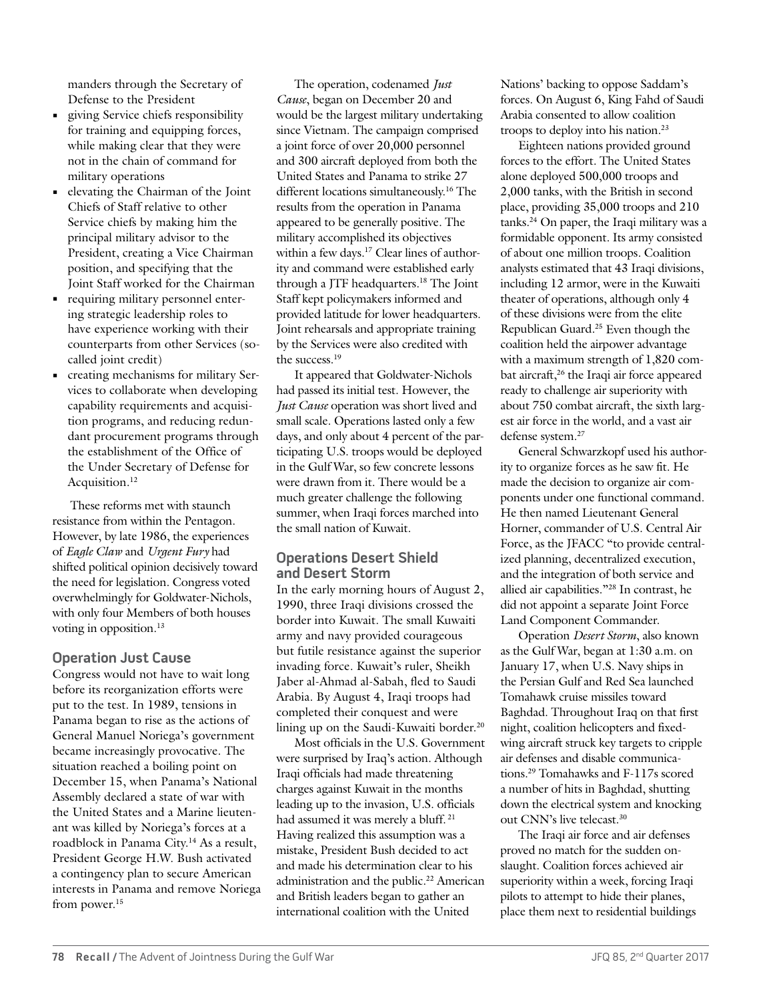manders through the Secretary of Defense to the President

- **•** giving Service chiefs responsibility for training and equipping forces, while making clear that they were not in the chain of command for military operations
- **•** elevating the Chairman of the Joint Chiefs of Staff relative to other Service chiefs by making him the principal military advisor to the President, creating a Vice Chairman position, and specifying that the Joint Staff worked for the Chairman
- **•** requiring military personnel entering strategic leadership roles to have experience working with their counterparts from other Services (socalled joint credit)
- **•** creating mechanisms for military Services to collaborate when developing capability requirements and acquisition programs, and reducing redundant procurement programs through the establishment of the Office of the Under Secretary of Defense for Acquisition.<sup>12</sup>

These reforms met with staunch resistance from within the Pentagon. However, by late 1986, the experiences of *Eagle Claw* and *Urgent Fury* had shifted political opinion decisively toward the need for legislation. Congress voted overwhelmingly for Goldwater-Nichols, with only four Members of both houses voting in opposition.<sup>13</sup>

## **Operation Just Cause**

Congress would not have to wait long before its reorganization efforts were put to the test. In 1989, tensions in Panama began to rise as the actions of General Manuel Noriega's government became increasingly provocative. The situation reached a boiling point on December 15, when Panama's National Assembly declared a state of war with the United States and a Marine lieutenant was killed by Noriega's forces at a roadblock in Panama City.14 As a result, President George H.W. Bush activated a contingency plan to secure American interests in Panama and remove Noriega from power.<sup>15</sup>

The operation, codenamed *Just Cause*, began on December 20 and would be the largest military undertaking since Vietnam. The campaign comprised a joint force of over 20,000 personnel and 300 aircraft deployed from both the United States and Panama to strike 27 different locations simultaneously.16 The results from the operation in Panama appeared to be generally positive. The military accomplished its objectives within a few days.<sup>17</sup> Clear lines of authority and command were established early through a JTF headquarters.18 The Joint Staff kept policymakers informed and provided latitude for lower headquarters. Joint rehearsals and appropriate training by the Services were also credited with the success.<sup>19</sup>

It appeared that Goldwater-Nichols had passed its initial test. However, the *Just Cause* operation was short lived and small scale. Operations lasted only a few days, and only about 4 percent of the participating U.S. troops would be deployed in the Gulf War, so few concrete lessons were drawn from it. There would be a much greater challenge the following summer, when Iraqi forces marched into the small nation of Kuwait.

## **Operations Desert Shield and Desert Storm**

In the early morning hours of August 2, 1990, three Iraqi divisions crossed the border into Kuwait. The small Kuwaiti army and navy provided courageous but futile resistance against the superior invading force. Kuwait's ruler, Sheikh Jaber al-Ahmad al-Sabah, fled to Saudi Arabia. By August 4, Iraqi troops had completed their conquest and were lining up on the Saudi-Kuwaiti border.<sup>20</sup>

Most officials in the U.S. Government were surprised by Iraq's action. Although Iraqi officials had made threatening charges against Kuwait in the months leading up to the invasion, U.S. officials had assumed it was merely a bluff. 21 Having realized this assumption was a mistake, President Bush decided to act and made his determination clear to his administration and the public.<sup>22</sup> American and British leaders began to gather an international coalition with the United

Nations' backing to oppose Saddam's forces. On August 6, King Fahd of Saudi Arabia consented to allow coalition troops to deploy into his nation.23

Eighteen nations provided ground forces to the effort. The United States alone deployed 500,000 troops and 2,000 tanks, with the British in second place, providing 35,000 troops and 210 tanks.24 On paper, the Iraqi military was a formidable opponent. Its army consisted of about one million troops. Coalition analysts estimated that 43 Iraqi divisions, including 12 armor, were in the Kuwaiti theater of operations, although only 4 of these divisions were from the elite Republican Guard.25 Even though the coalition held the airpower advantage with a maximum strength of 1,820 combat aircraft,<sup>26</sup> the Iraqi air force appeared ready to challenge air superiority with about 750 combat aircraft, the sixth largest air force in the world, and a vast air defense system.27

General Schwarzkopf used his authority to organize forces as he saw fit. He made the decision to organize air components under one functional command. He then named Lieutenant General Horner, commander of U.S. Central Air Force, as the JFACC "to provide centralized planning, decentralized execution, and the integration of both service and allied air capabilities."28 In contrast, he did not appoint a separate Joint Force Land Component Commander.

Operation *Desert Storm*, also known as the Gulf War, began at 1:30 a.m. on January 17, when U.S. Navy ships in the Persian Gulf and Red Sea launched Tomahawk cruise missiles toward Baghdad. Throughout Iraq on that first night, coalition helicopters and fixedwing aircraft struck key targets to cripple air defenses and disable communications.29 Tomahawks and F-117s scored a number of hits in Baghdad, shutting down the electrical system and knocking out CNN's live telecast.30

The Iraqi air force and air defenses proved no match for the sudden onslaught. Coalition forces achieved air superiority within a week, forcing Iraqi pilots to attempt to hide their planes, place them next to residential buildings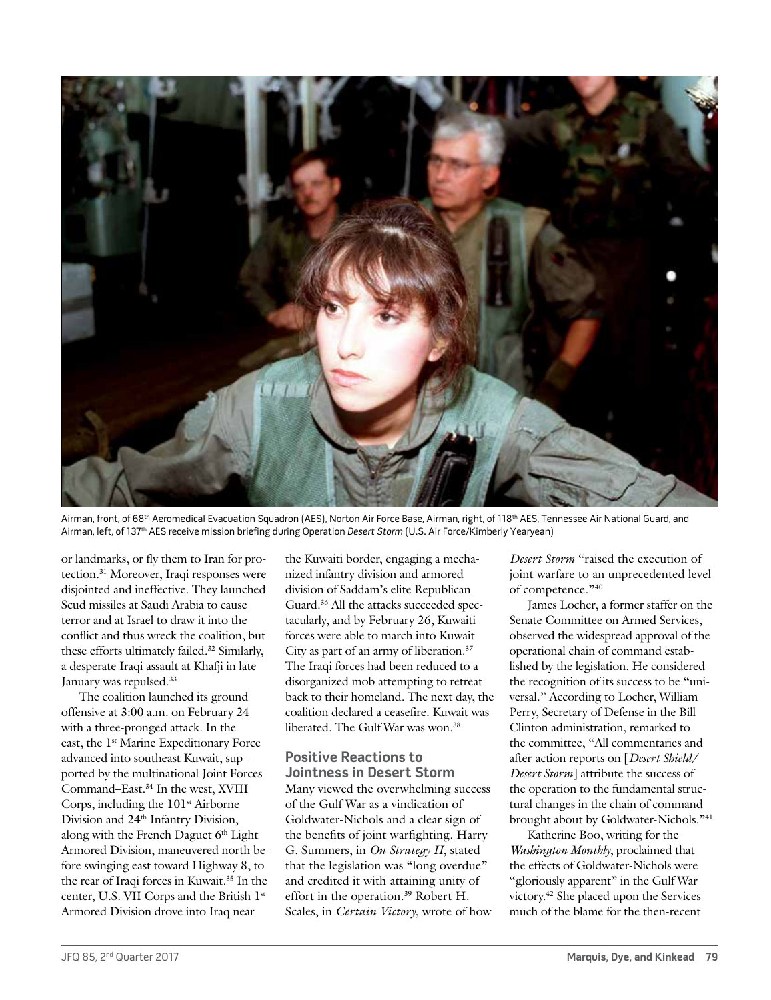

Airman, front, of 68<sup>th</sup> Aeromedical Evacuation Squadron (AES), Norton Air Force Base, Airman, right, of 118<sup>th</sup> AES, Tennessee Air National Guard, and Airman, left, of 137<sup>th</sup> AES receive mission briefing during Operation Desert Storm (U.S. Air Force/Kimberly Yearyean)

or landmarks, or fly them to Iran for protection.31 Moreover, Iraqi responses were disjointed and ineffective. They launched Scud missiles at Saudi Arabia to cause terror and at Israel to draw it into the conflict and thus wreck the coalition, but these efforts ultimately failed.32 Similarly, a desperate Iraqi assault at Khafji in late January was repulsed.33

The coalition launched its ground offensive at 3:00 a.m. on February 24 with a three-pronged attack. In the east, the 1<sup>st</sup> Marine Expeditionary Force advanced into southeast Kuwait, supported by the multinational Joint Forces Command–East.34 In the west, XVIII Corps, including the 101<sup>st</sup> Airborne Division and 24<sup>th</sup> Infantry Division, along with the French Daguet 6<sup>th</sup> Light Armored Division, maneuvered north before swinging east toward Highway 8, to the rear of Iraqi forces in Kuwait.<sup>35</sup> In the center, U.S. VII Corps and the British 1st Armored Division drove into Iraq near

the Kuwaiti border, engaging a mechanized infantry division and armored division of Saddam's elite Republican Guard.<sup>36</sup> All the attacks succeeded spectacularly, and by February 26, Kuwaiti forces were able to march into Kuwait City as part of an army of liberation.37 The Iraqi forces had been reduced to a disorganized mob attempting to retreat back to their homeland. The next day, the coalition declared a ceasefire. Kuwait was liberated. The Gulf War was won.38

## **Positive Reactions to Jointness in Desert Storm**

Many viewed the overwhelming success of the Gulf War as a vindication of Goldwater-Nichols and a clear sign of the benefits of joint warfighting. Harry G. Summers, in *On Strategy II*, stated that the legislation was "long overdue" and credited it with attaining unity of effort in the operation.<sup>39</sup> Robert H. Scales, in *Certain Victory*, wrote of how

*Desert Storm* "raised the execution of joint warfare to an unprecedented level of competence."40

James Locher, a former staffer on the Senate Committee on Armed Services, observed the widespread approval of the operational chain of command established by the legislation. He considered the recognition of its success to be "universal." According to Locher, William Perry, Secretary of Defense in the Bill Clinton administration, remarked to the committee, "All commentaries and after-action reports on [*Desert Shield/ Desert Storm*] attribute the success of the operation to the fundamental structural changes in the chain of command brought about by Goldwater-Nichols."41

Katherine Boo, writing for the *Washington Monthly*, proclaimed that the effects of Goldwater-Nichols were "gloriously apparent" in the Gulf War victory.42 She placed upon the Services much of the blame for the then-recent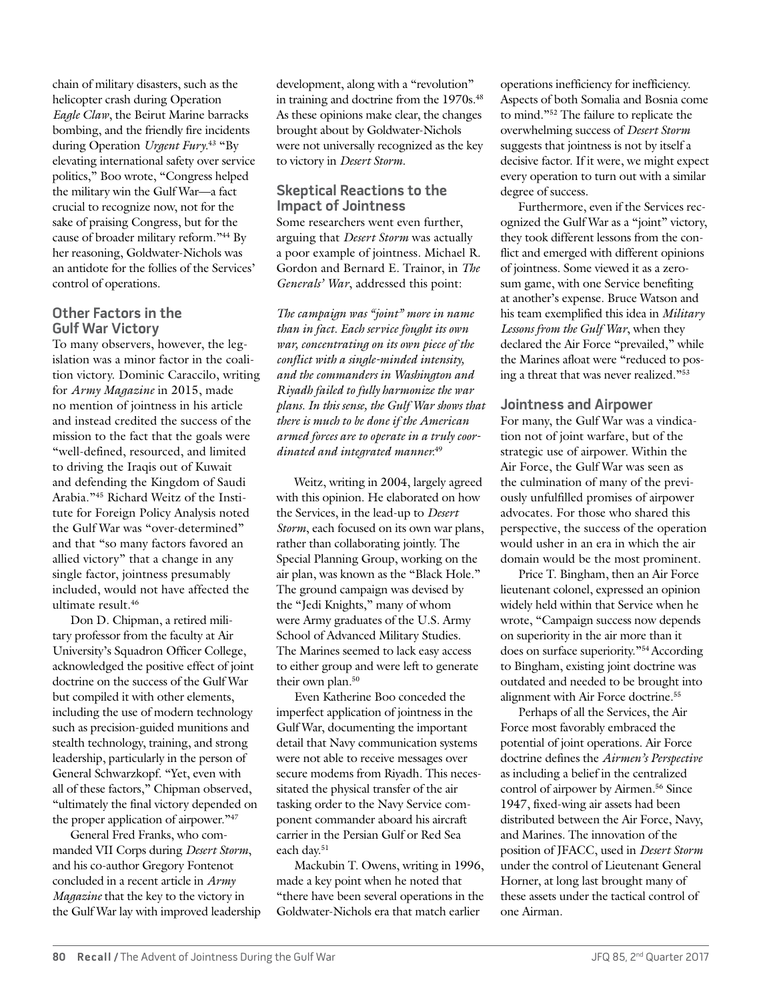chain of military disasters, such as the helicopter crash during Operation *Eagle Claw*, the Beirut Marine barracks bombing, and the friendly fire incidents during Operation *Urgent Fury*. 43 "By elevating international safety over service politics," Boo wrote, "Congress helped the military win the Gulf War—a fact crucial to recognize now, not for the sake of praising Congress, but for the cause of broader military reform."44 By her reasoning, Goldwater-Nichols was an antidote for the follies of the Services' control of operations.

# **Other Factors in the Gulf War Victory**

To many observers, however, the legislation was a minor factor in the coalition victory. Dominic Caraccilo, writing for *Army Magazine* in 2015, made no mention of jointness in his article and instead credited the success of the mission to the fact that the goals were "well-defined, resourced, and limited to driving the Iraqis out of Kuwait and defending the Kingdom of Saudi Arabia."45 Richard Weitz of the Institute for Foreign Policy Analysis noted the Gulf War was "over-determined" and that "so many factors favored an allied victory" that a change in any single factor, jointness presumably included, would not have affected the ultimate result.46

Don D. Chipman, a retired military professor from the faculty at Air University's Squadron Officer College, acknowledged the positive effect of joint doctrine on the success of the Gulf War but compiled it with other elements, including the use of modern technology such as precision-guided munitions and stealth technology, training, and strong leadership, particularly in the person of General Schwarzkopf. "Yet, even with all of these factors," Chipman observed, "ultimately the final victory depended on the proper application of airpower."47

General Fred Franks, who commanded VII Corps during *Desert Storm*, and his co-author Gregory Fontenot concluded in a recent article in *Army Magazine* that the key to the victory in the Gulf War lay with improved leadership

development, along with a "revolution" in training and doctrine from the 1970s.<sup>48</sup> As these opinions make clear, the changes brought about by Goldwater-Nichols were not universally recognized as the key to victory in *Desert Storm*.

# **Skeptical Reactions to the Impact of Jointness**

Some researchers went even further, arguing that *Desert Storm* was actually a poor example of jointness. Michael R. Gordon and Bernard E. Trainor, in *The Generals' War*, addressed this point:

*The campaign was "joint" more in name than in fact. Each service fought its own war, concentrating on its own piece of the conflict with a single-minded intensity, and the commanders in Washington and Riyadh failed to fully harmonize the war plans. In this sense, the Gulf War shows that there is much to be done if the American armed forces are to operate in a truly coordinated and integrated manner.*<sup>49</sup>

Weitz, writing in 2004, largely agreed with this opinion. He elaborated on how the Services, in the lead-up to *Desert Storm*, each focused on its own war plans, rather than collaborating jointly. The Special Planning Group, working on the air plan, was known as the "Black Hole." The ground campaign was devised by the "Jedi Knights," many of whom were Army graduates of the U.S. Army School of Advanced Military Studies. The Marines seemed to lack easy access to either group and were left to generate their own plan.<sup>50</sup>

Even Katherine Boo conceded the imperfect application of jointness in the Gulf War, documenting the important detail that Navy communication systems were not able to receive messages over secure modems from Riyadh. This necessitated the physical transfer of the air tasking order to the Navy Service component commander aboard his aircraft carrier in the Persian Gulf or Red Sea each day.51

Mackubin T. Owens, writing in 1996, made a key point when he noted that "there have been several operations in the Goldwater-Nichols era that match earlier

operations inefficiency for inefficiency. Aspects of both Somalia and Bosnia come to mind."52 The failure to replicate the overwhelming success of *Desert Storm* suggests that jointness is not by itself a decisive factor. If it were, we might expect every operation to turn out with a similar degree of success.

Furthermore, even if the Services recognized the Gulf War as a "joint" victory, they took different lessons from the conflict and emerged with different opinions of jointness. Some viewed it as a zerosum game, with one Service benefiting at another's expense. Bruce Watson and his team exemplified this idea in *Military Lessons from the Gulf War*, when they declared the Air Force "prevailed," while the Marines afloat were "reduced to posing a threat that was never realized."53

## **Jointness and Airpower**

For many, the Gulf War was a vindication not of joint warfare, but of the strategic use of airpower. Within the Air Force, the Gulf War was seen as the culmination of many of the previously unfulfilled promises of airpower advocates. For those who shared this perspective, the success of the operation would usher in an era in which the air domain would be the most prominent.

Price T. Bingham, then an Air Force lieutenant colonel, expressed an opinion widely held within that Service when he wrote, "Campaign success now depends on superiority in the air more than it does on surface superiority."54 According to Bingham, existing joint doctrine was outdated and needed to be brought into alignment with Air Force doctrine.55

Perhaps of all the Services, the Air Force most favorably embraced the potential of joint operations. Air Force doctrine defines the *Airmen's Perspective* as including a belief in the centralized control of airpower by Airmen.<sup>56</sup> Since 1947, fixed-wing air assets had been distributed between the Air Force, Navy, and Marines. The innovation of the position of JFACC, used in *Desert Storm* under the control of Lieutenant General Horner, at long last brought many of these assets under the tactical control of one Airman.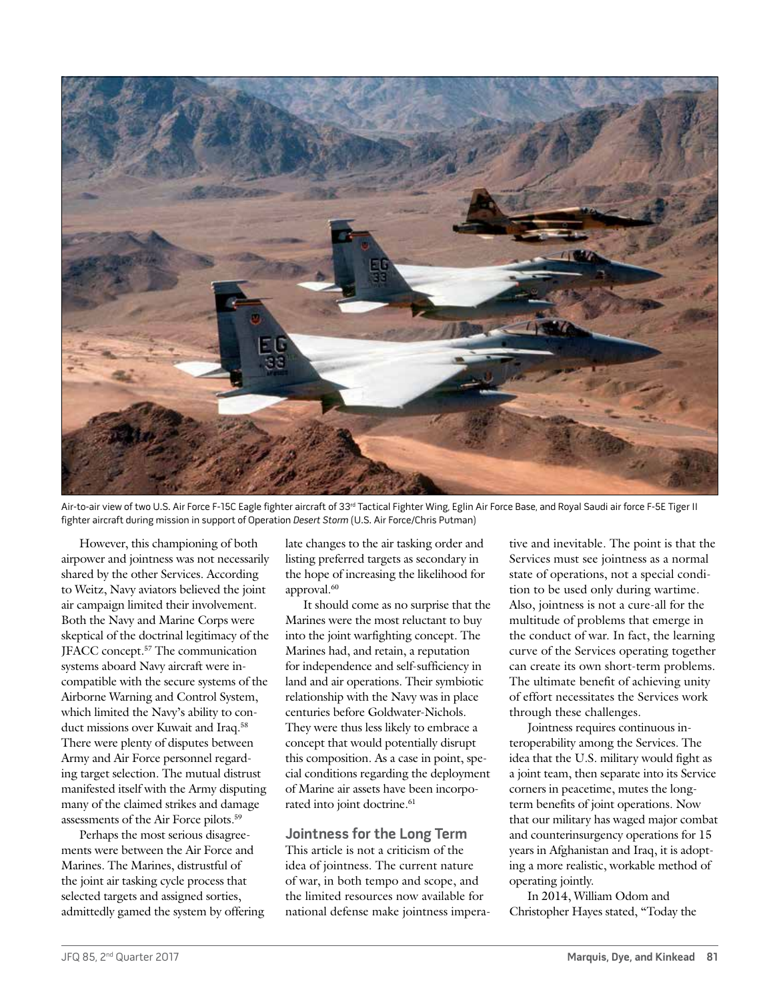

Air-to-air view of two U.S. Air Force F-15C Eagle fighter aircraft of 33<sup>rd</sup> Tactical Fighter Wing, Eglin Air Force Base, and Royal Saudi air force F-5E Tiger II fighter aircraft during mission in support of Operation Desert Storm (U.S. Air Force/Chris Putman)

However, this championing of both airpower and jointness was not necessarily shared by the other Services. According to Weitz, Navy aviators believed the joint air campaign limited their involvement. Both the Navy and Marine Corps were skeptical of the doctrinal legitimacy of the JFACC concept.57 The communication systems aboard Navy aircraft were incompatible with the secure systems of the Airborne Warning and Control System, which limited the Navy's ability to conduct missions over Kuwait and Iraq.<sup>58</sup> There were plenty of disputes between Army and Air Force personnel regarding target selection. The mutual distrust manifested itself with the Army disputing many of the claimed strikes and damage assessments of the Air Force pilots.59

Perhaps the most serious disagreements were between the Air Force and Marines. The Marines, distrustful of the joint air tasking cycle process that selected targets and assigned sorties, admittedly gamed the system by offering late changes to the air tasking order and listing preferred targets as secondary in the hope of increasing the likelihood for approval.<sup>60</sup>

It should come as no surprise that the Marines were the most reluctant to buy into the joint warfighting concept. The Marines had, and retain, a reputation for independence and self-sufficiency in land and air operations. Their symbiotic relationship with the Navy was in place centuries before Goldwater-Nichols. They were thus less likely to embrace a concept that would potentially disrupt this composition. As a case in point, special conditions regarding the deployment of Marine air assets have been incorporated into joint doctrine.<sup>61</sup>

## **Jointness for the Long Term**

This article is not a criticism of the idea of jointness. The current nature of war, in both tempo and scope, and the limited resources now available for national defense make jointness imperative and inevitable. The point is that the Services must see jointness as a normal state of operations, not a special condition to be used only during wartime. Also, jointness is not a cure-all for the multitude of problems that emerge in the conduct of war. In fact, the learning curve of the Services operating together can create its own short-term problems. The ultimate benefit of achieving unity of effort necessitates the Services work through these challenges.

Jointness requires continuous interoperability among the Services. The idea that the U.S. military would fight as a joint team, then separate into its Service corners in peacetime, mutes the longterm benefits of joint operations. Now that our military has waged major combat and counterinsurgency operations for 15 years in Afghanistan and Iraq, it is adopting a more realistic, workable method of operating jointly.

In 2014, William Odom and Christopher Hayes stated, "Today the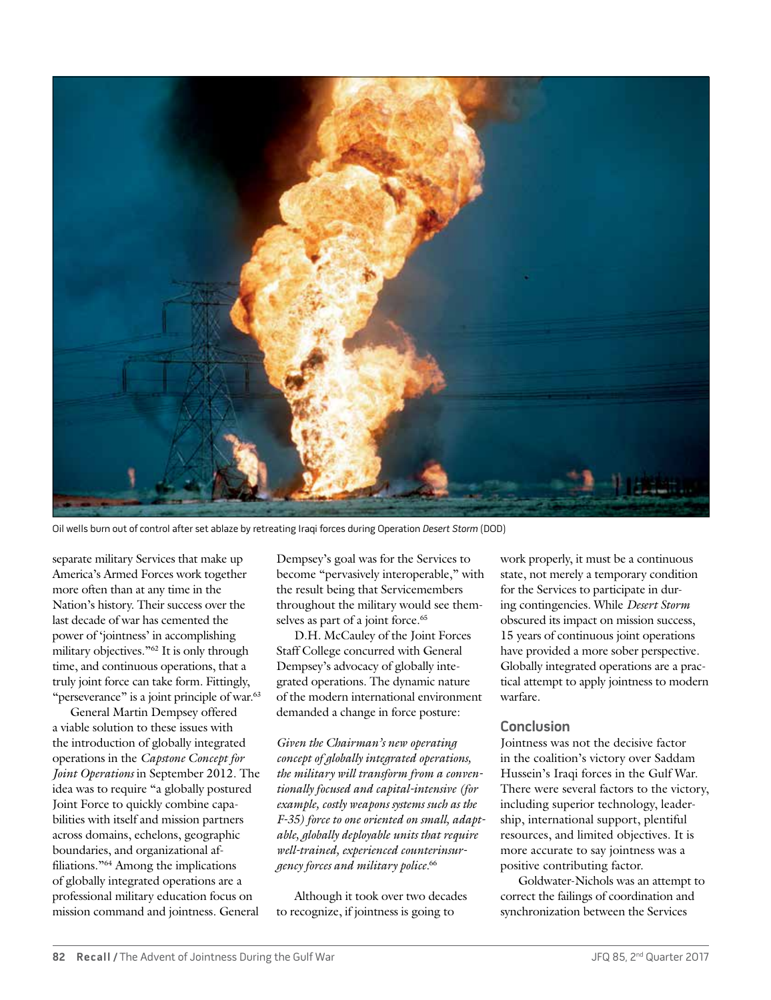

Oil wells burn out of control after set ablaze by retreating Iraqi forces during Operation Desert Storm (DOD)

separate military Services that make up America's Armed Forces work together more often than at any time in the Nation's history. Their success over the last decade of war has cemented the power of 'jointness' in accomplishing military objectives."62 It is only through time, and continuous operations, that a truly joint force can take form. Fittingly, "perseverance" is a joint principle of war.<sup>63</sup>

General Martin Dempsey offered a viable solution to these issues with the introduction of globally integrated operations in the *Capstone Concept for Joint Operations* in September 2012. The idea was to require "a globally postured Joint Force to quickly combine capabilities with itself and mission partners across domains, echelons, geographic boundaries, and organizational affiliations."64 Among the implications of globally integrated operations are a professional military education focus on mission command and jointness. General

Dempsey's goal was for the Services to become "pervasively interoperable," with the result being that Servicemembers throughout the military would see themselves as part of a joint force.<sup>65</sup>

D.H. McCauley of the Joint Forces Staff College concurred with General Dempsey's advocacy of globally integrated operations. The dynamic nature of the modern international environment demanded a change in force posture:

*Given the Chairman's new operating concept of globally integrated operations, the military will transform from a conventionally focused and capital-intensive (for example, costly weapons systems such as the F-35) force to one oriented on small, adaptable, globally deployable units that require well-trained, experienced counterinsurgency forces and military police.*<sup>66</sup>

Although it took over two decades to recognize, if jointness is going to

work properly, it must be a continuous state, not merely a temporary condition for the Services to participate in during contingencies. While *Desert Storm* obscured its impact on mission success, 15 years of continuous joint operations have provided a more sober perspective. Globally integrated operations are a practical attempt to apply jointness to modern warfare.

# **Conclusion**

Jointness was not the decisive factor in the coalition's victory over Saddam Hussein's Iraqi forces in the Gulf War. There were several factors to the victory, including superior technology, leadership, international support, plentiful resources, and limited objectives. It is more accurate to say jointness was a positive contributing factor.

Goldwater-Nichols was an attempt to correct the failings of coordination and synchronization between the Services